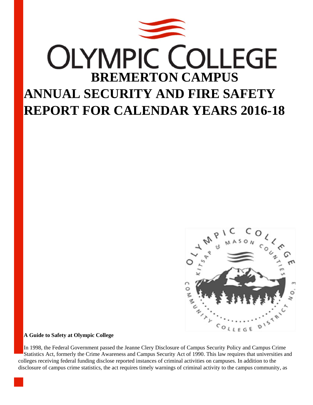



#### **A Guide to Safety at Olympic College**

In 1998, the Federal Government passed the Jeanne Clery Disclosure of Campus Security Policy and Campus Crime Statistics Act, formerly the Crime Awareness and Campus Security Act of 1990. This law requires that universities and colleges receiving federal funding disclose reported instances of criminal activities on campuses. In addition to the disclosure of campus crime statistics, the act requires timely warnings of criminal activity to the campus community, as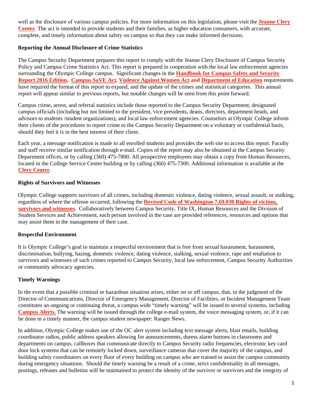well as the disclosure of various campus policies. For more information on this legislation, please visit the **Jeanne Clery Center**. The act is intended to provide students and their families, as higher education consumers, with accurate, complete, and timely information about safety on campus so that they can make informed decisions.

## **Reporting the Annual Disclosure of Crime Statistics**

The Campus Security Department prepares this report to comply with the Jeanne Clery Disclosure of Campus Security Policy and Campus Crime Statistics Act. This report is prepared in cooperation with the local law enforcement agencies surrounding the Olympic College campus. Significant changes in the **Handbook for Campus Safety and Security Report 2016 Edition**, **Campus SaVE Act**, **Violence Against Women Act and Department of Education** requirements have required the format of this report to expand, and the update of the crimes and statistical categories. This annual report will appear similar to previous reports, but notable changes will be seen from this point forward.

Campus crime, arrest, and referral statistics include those reported to the Campus Security Department, designated campus officials (including but not limited to the president, vice presidents, deans, directors, department heads, and advisors to students /student organizations), and local law enforcement agencies. Counselors at Olympic College inform their clients of the procedures to report crime to the Campus Security Department on a voluntary or confidential basis, should they feel it is in the best interest of their client.

Each year, a message notification is made to all enrolled students and provides the web site to access this report. Faculty and staff receive similar notification through e-mail. Copies of the report may also be obtained at the Campus Security Department offices, or by calling (360) 475-7800. All prospective employees may obtain a copy from Human Resources, located in the College Service Center building or by calling (360) 475-7300. Additional information is available at the **Clery Center**.

## **Rights of Survivors and Witnesses**

Olympic College supports survivors of all crimes, including domestic violence, dating violence, sexual assault, or stalking, regardless of where the offense occurred, following the **Revised Code of Washington 7.69.030 Rights of victims, survivors and witnesses**. Collaboratively between Campus Security, Title IX, Human Resources and the Division of Student Services and Achievement, each person involved in the case are provided references, resources and options that may assist them in the management of their case.

## **Respectful Environment**

It is Olympic College's goal to maintain a respectful environment that is free from sexual harassment, harassment, discrimination, bullying, hazing, domestic violence, dating violence, stalking, sexual violence, rape and retaliation to survivors and witnesses of such crimes reported to Campus Security, local law enforcement, Campus Security Authorities or community advocacy agencies.

#### **Timely Warnings**

In the event that a possible criminal or hazardous situation arises, either on or off campus, that, in the judgment of the Director of Communications, Director of Emergency Management, Director of Facilities, or Incident Management Team constitutes an ongoing or continuing threat, a campus wide "timely warning" will be issued to several systems, including **Campus Alerts.** The warning will be issued through the college e-mail system, the voice messaging system, or, if it can be done in a timely manner, the campus student newspaper: Ranger News.

In addition, Olympic College makes use of the OC alert system including text message alerts, blast emails, building coordinator radios, public address speakers allowing for announcements, duress alarm buttons in classrooms and departments on campus, callboxes that communicate directly to Campus Security radio frequencies, electronic key card door lock systems that can be remotely locked down, surveillance cameras that cover the majority of the campus, and building safety coordinators on every floor of every building on campus who are trained to assist the campus community during emergency situations. Should the timely warning be a result of a crime, strict confidentiality in all messages, postings, releases and bulletins will be maintained to protect the identity of the survivor or survivors and the integrity of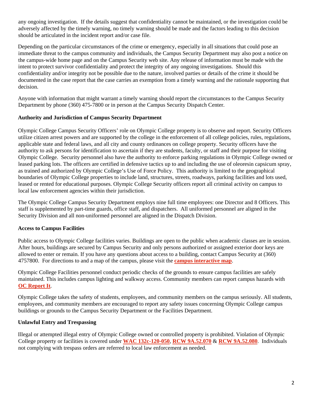any ongoing investigation. If the details suggest that confidentiality cannot be maintained, or the investigation could be adversely affected by the timely warning, no timely warning should be made and the factors leading to this decision should be articulated in the incident report and/or case file.

Depending on the particular circumstances of the crime or emergency, especially in all situations that could pose an immediate threat to the campus community and individuals, the Campus Security Department may also post a notice on the campus-wide home page and on the Campus Security web site. Any release of information must be made with the intent to protect survivor confidentiality and protect the integrity of any ongoing investigations. Should this confidentiality and/or integrity not be possible due to the nature, involved parties or details of the crime it should be documented in the case report that the case carries an exemption from a timely warning and the rationale supporting that decision.

Anyone with information that might warrant a timely warning should report the circumstances to the Campus Security Department by phone (360) 475-7800 or in person at the Campus Security Dispatch Center.

## **Authority and Jurisdiction of Campus Security Department**

Olympic College Campus Security Officers' role on Olympic College property is to observe and report. Security Officers utilize citizen arrest powers and are supported by the college in the enforcement of all college policies, rules, regulations, applicable state and federal laws, and all city and county ordinances on college property. Security officers have the authority to ask persons for identification to ascertain if they are students, faculty, or staff and their purpose for visiting Olympic College. Security personnel also have the authority to enforce parking regulations in Olympic College owned or leased parking lots. The officers are certified in defensive tactics up to and including the use of oleoresin capsicum spray, as trained and authorized by Olympic College's Use of Force Policy. This authority is limited to the geographical boundaries of Olympic College properties to include land, structures, streets, roadways, parking facilities and lots used, leased or rented for educational purposes. Olympic College Security officers report all criminal activity on campus to local law enforcement agencies within their jurisdiction.

The Olympic College Campus Security Department employs nine full time employees: one Director and 8 Officers. This staff is supplemented by part-time guards, office staff, and dispatchers. All uniformed personnel are aligned in the Security Division and all non-uniformed personnel are aligned in the Dispatch Division.

# **Access to Campus Facilities**

Public access to Olympic College facilities varies. Buildings are open to the public when academic classes are in session. After hours, buildings are secured by Campus Security and only persons authorized or assigned exterior door keys are allowed to enter or remain. If you have any questions about access to a building, contact Campus Security at (360) 4757800. For directions to and a map of the campus, please visit the **campus interactive map**.

Olympic College Facilities personnel conduct periodic checks of the grounds to ensure campus facilities are safely maintained. This includes campus lighting and walkway access. Community members can report campus hazards with **OC Report It**.

Olympic College takes the safety of students, employees, and community members on the campus seriously. All students, employees, and community members are encouraged to report any safety issues concerning Olympic College campus buildings or grounds to the Campus Security Department or the Facilities Department.

# **Unlawful Entry and Trespassing**

Illegal or attempted illegal entry of Olympic College owned or controlled property is prohibited. Violation of Olympic College property or facilities is covered under **WAC 132c-120-050**, **RCW 9A.52.070** & **RCW 9A.52.080**. Individuals not complying with trespass orders are referred to local law enforcement as needed.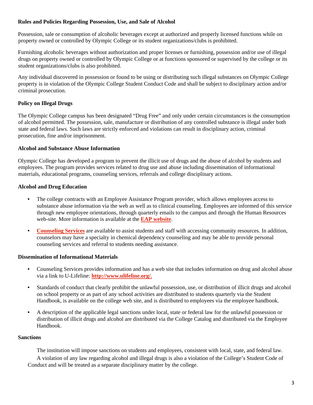#### **Rules and Policies Regarding Possession, Use, and Sale of Alcohol**

Possession, sale or consumption of alcoholic beverages except at authorized and properly licensed functions while on property owned or controlled by Olympic College or its student organizations/clubs is prohibited.

Furnishing alcoholic beverages without authorization and proper licenses or furnishing, possession and/or use of illegal drugs on property owned or controlled by Olympic College or at functions sponsored or supervised by the college or its student organizations/clubs is also prohibited.

Any individual discovered in possession or found to be using or distributing such illegal substances on Olympic College property is in violation of the Olympic College Student Conduct Code and shall be subject to disciplinary action and/or criminal prosecution.

## **Policy on Illegal Drugs**

The Olympic College campus has been designated "Drug Free" and only under certain circumstances is the consumption of alcohol permitted. The possession, sale, manufacture or distribution of any controlled substance is illegal under both state and federal laws. Such laws are strictly enforced and violations can result in disciplinary action, criminal prosecution, fine and/or imprisonment.

#### **Alcohol and Substance Abuse Information**

Olympic College has developed a program to prevent the illicit use of drugs and the abuse of alcohol by students and employees. The program provides services related to drug use and abuse including dissemination of informational materials, educational programs, counseling services, referrals and college disciplinary actions.

#### **Alcohol and Drug Education**

- The college contracts with an Employee Assistance Program provider, which allows employees access to substance abuse information via the web as well as to clinical counseling. Employees are informed of this service through new employee orientations, through quarterly emails to the campus and through the Human Resources web-site. More information is available at the **EAP website**.
- **Counseling Services** are available to assist students and staff with accessing community resources. In addition, counselors may have a specialty in chemical dependency counseling and may be able to provide personal counseling services and referral to students needing assistance.

## **Dissemination of Informational Materials**

- Counseling Services provides information and has a web site that includes information on drug and alcohol abuse via a link to U-Lifeline: **http://www.ulifeline.org/**.
- Standards of conduct that clearly prohibit the unlawful possession, use, or distribution of illicit drugs and alcohol on school property or as part of any school activities are distributed to students quarterly via the Student Handbook, is available on the college web site, and is distributed to employees via the employee handbook.
- A description of the applicable legal sanctions under local, state or federal law for the unlawful possession or distribution of illicit drugs and alcohol are distributed via the College Catalog and distributed via the Employee Handbook.

#### **Sanctions**

 The institution will impose sanctions on students and employees, consistent with local, state, and federal law. A violation of any law regarding alcohol and illegal drugs is also a violation of the College's Student Code of Conduct and will be treated as a separate disciplinary matter by the college.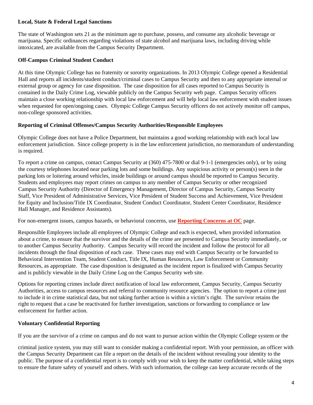#### **Local, State & Federal Legal Sanctions**

The state of Washington sets 21 as the minimum age to purchase, possess, and consume any alcoholic beverage or marijuana. Specific ordinances regarding violations of state alcohol and marijuana laws, including driving while intoxicated, are available from the Campus Security Department.

#### **Off-Campus Criminal Student Conduct**

At this time Olympic College has no fraternity or sorority organizations. In 2013 Olympic College opened a Residential Hall and reports all incidents/student conduct/criminal cases to Campus Security and then to any appropriate internal or external group or agency for case disposition. The case disposition for all cases reported to Campus Security is contained in the Daily Crime Log, viewable publicly on the Campus Security web page. Campus Security officers maintain a close working relationship with local law enforcement and will help local law enforcement with student issues when requested for open/ongoing cases. Olympic College Campus Security officers do not actively monitor off campus, non-college sponsored activities.

#### **Reporting of Criminal Offenses/Campus Security Authorities/Responsible Employees**

Olympic College does not have a Police Department, but maintains a good working relationship with each local law enforcement jurisdiction. Since college property is in the law enforcement jurisdiction, no memorandum of understanding is required.

To report a crime on campus, contact Campus Security at (360) 475-7800 or dial 9-1-1 (emergencies only), or by using the courtesy telephones located near parking lots and some buildings. Any suspicious activity or person(s) seen in the parking lots or loitering around vehicles, inside buildings or around campus should be reported to Campus Security. Students and employees may report crimes on campus to any member of Campus Security or other recognized Campus Security Authority (Director of Emergency Management, Director of Campus Security, Campus Security Staff, Vice President of Administrative Services, Vice President of Student Success and Achievement, Vice President for Equity and Inclusion/Title IX Coordinator, Student Conduct Coordinator, Student Center Coordinator, Residence Hall Manager, and Residence Assistants).

For non-emergent issues, campus hazards, or behavioral concerns, use **Reporting Concerns at OC** page.

Responsible Employees include all employees of Olympic College and each is expected, when provided information about a crime, to ensure that the survivor and the details of the crime are presented to Campus Security immediately, or to another Campus Security Authority. Campus Security will record the incident and follow the protocol for all incidents through the final disposition of each case. These cases may end with Campus Security or be forwarded to Behavioral Intervention Team, Student Conduct, Title IX, Human Resources, Law Enforcement or Community Resources, as appropriate. The case disposition is designated as the incident report is finalized with Campus Security and is publicly viewable in the Daily Crime Log on the Campus Security web site.

Options for reporting crimes include direct notification of local law enforcement, Campus Security, Campus Security Authorities, access to campus resources and referral to community resource agencies. The option to report a crime just to include it in crime statistical data, but not taking further action is within a victim's right. The survivor retains the right to request that a case be reactivated for further investigation, sanctions or forwarding to compliance or law enforcement for further action.

## **Voluntary Confidential Reporting**

If you are the survivor of a crime on campus and do not want to pursue action within the Olympic College system or the

criminal justice system, you may still want to consider making a confidential report. With your permission, an officer with the Campus Security Department can file a report on the details of the incident without revealing your identity to the public. The purpose of a confidential report is to comply with your wish to keep the matter confidential, while taking steps to ensure the future safety of yourself and others. With such information, the college can keep accurate records of the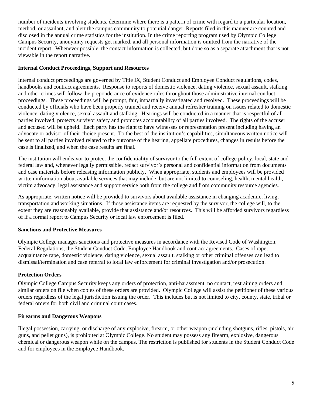number of incidents involving students, determine where there is a pattern of crime with regard to a particular location, method, or assailant, and alert the campus community to potential danger. Reports filed in this manner are counted and disclosed in the annual crime statistics for the institution. In the crime reporting program used by Olympic College Campus Security, anonymity requests get marked, and all personal information is omitted from the narrative of the incident report. Whenever possible, the contact information is collected, but done so as a separate attachment that is not viewable in the report narrative.

## **Internal Conduct Proceedings, Support and Resources**

Internal conduct proceedings are governed by Title IX, Student Conduct and Employee Conduct regulations, codes, handbooks and contract agreements. Response to reports of domestic violence, dating violence, sexual assault, stalking and other crimes will follow the preponderance of evidence rules throughout those administrative internal conduct proceedings. These proceedings will be prompt, fair, impartially investigated and resolved. These proceedings will be conducted by officials who have been properly trained and receive annual refresher training on issues related to domestic violence, dating violence, sexual assault and stalking. Hearings will be conducted in a manner that is respectful of all parties involved, protects survivor safety and promotes accountability of all parties involved. The rights of the accuser and accused will be upheld. Each party has the right to have witnesses or representation present including having an advocate or advisor of their choice present. To the best of the institution's capabilities, simultaneous written notice will be sent to all parties involved related to the outcome of the hearing, appellate procedures, changes in results before the case is finalized, and when the case results are final.

The institution will endeavor to protect the confidentiality of survivor to the full extent of college policy, local, state and federal law and, whenever legally permissible, redact survivor's personal and confidential information from documents and case materials before releasing information publicly. When appropriate, students and employees will be provided written information about available services that may include, but are not limited to counseling, health, mental health, victim advocacy, legal assistance and support service both from the college and from community resource agencies.

As appropriate, written notice will be provided to survivors about available assistance in changing academic, living, transportation and working situations. If those assistance items are requested by the survivor, the college will, to the extent they are reasonably available, provide that assistance and/or resources. This will be afforded survivors regardless of if a formal report to Campus Security or local law enforcement is filed.

# **Sanctions and Protective Measures**

Olympic College manages sanctions and protective measures in accordance with the Revised Code of Washington, Federal Regulations, the Student Conduct Code, Employee Handbook and contract agreements. Cases of rape, acquaintance rape, domestic violence, dating violence, sexual assault, stalking or other criminal offenses can lead to dismissal/termination and case referral to local law enforcement for criminal investigation and/or prosecution.

# **Protection Orders**

Olympic College Campus Security keeps any orders of protection, anti-harassment, no contact, restraining orders and similar orders on file when copies of these orders are provided. Olympic College will assist the petitioner of these various orders regardless of the legal jurisdiction issuing the order. This includes but is not limited to city, county, state, tribal or federal orders for both civil and criminal court cases.

## **Firearms and Dangerous Weapons**

Illegal possession, carrying, or discharge of any explosive, firearm, or other weapon (including shotguns, rifles, pistols, air guns, and pellet guns), is prohibited at Olympic College. No student may possess any firearm, explosive, dangerous chemical or dangerous weapon while on the campus. The restriction is published for students in the Student Conduct Code and for employees in the Employee Handbook.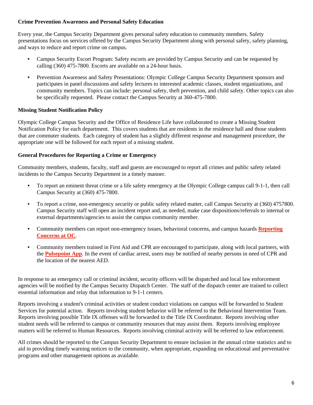## **Crime Prevention Awareness and Personal Safety Education**

Every year, the Campus Security Department gives personal safety education to community members. Safety presentations focus on services offered by the Campus Security Department along with personal safety, safety planning, and ways to reduce and report crime on campus.

- Campus Security Escort Program: Safety escorts are provided by Campus Security and can be requested by calling (360) 475-7800. Escorts are available on a 24-hour basis.
- Prevention Awareness and Safety Presentations: Olympic College Campus Security Department sponsors and participates in panel discussions and safety lectures to interested academic classes, student organizations, and community members. Topics can include: personal safety, theft prevention, and child safety. Other topics can also be specifically requested. Please contact the Campus Security at 360-475-7800.

#### **Missing Student Notification Policy**

Olympic College Campus Security and the Office of Residence Life have collaborated to create a Missing Student Notification Policy for each department. This covers students that are residents in the residence hall and those students that are commuter students. Each category of student has a slightly different response and management procedure, the appropriate one will be followed for each report of a missing student.

#### **General Procedures for Reporting a Crime or Emergency**

Community members, students, faculty, staff and guests are encouraged to report all crimes and public safety related incidents to the Campus Security Department in a timely manner.

- To report an eminent threat crime or a life safety emergency at the Olympic College campus call 9-1-1, then call Campus Security at (360) 475-7800.
- To report a crime, non-emergency security or public safety related matter, call Campus Security at (360) 4757800. Campus Security staff will open an incident report and, as needed, make case dispositions/referrals to internal or external departments/agencies to assist the campus community member.
- Community members can report non-emergency issues, behavioral concerns, and campus hazards **Reporting Concerns at OC**.
- Community members trained in First Aid and CPR are encouraged to participate, along with local partners, with the **Pulsepoint App**. In the event of cardiac arrest, users may be notified of nearby persons in need of CPR and the location of the nearest AED.

In response to an emergency call or criminal incident, security officers will be dispatched and local law enforcement agencies will be notified by the Campus Security Dispatch Center. The staff of the dispatch center are trained to collect essential information and relay that information to 9-1-1 centers.

Reports involving a student's criminal activities or student conduct violations on campus will be forwarded to Student Services for potential action. Reports involving student behavior will be referred to the Behavioral Intervention Team. Reports involving possible Title IX offenses will be forwarded to the Title IX Coordinator. Reports involving other student needs will be referred to campus or community resources that may assist them. Reports involving employee matters will be referred to Human Resources. Reports involving criminal activity will be referred to law enforcement.

All crimes should be reported to the Campus Security Department to ensure inclusion in the annual crime statistics and to aid in providing timely warning notices to the community, when appropriate, expanding on educational and preventative programs and other management options as available.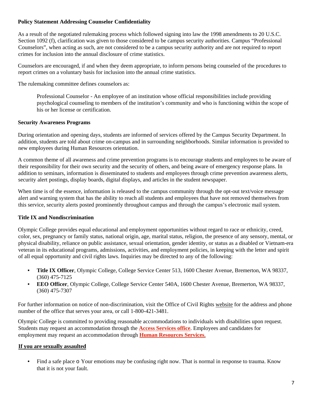## **Policy Statement Addressing Counselor Confidentiality**

As a result of the negotiated rulemaking process which followed signing into law the 1998 amendments to 20 U.S.C. Section 1092 (f), clarification was given to those considered to be campus security authorities. Campus "Professional Counselors", when acting as such, are not considered to be a campus security authority and are not required to report crimes for inclusion into the annual disclosure of crime statistics.

Counselors are encouraged, if and when they deem appropriate, to inform persons being counseled of the procedures to report crimes on a voluntary basis for inclusion into the annual crime statistics.

The rulemaking committee defines counselors as:

 Professional Counselor - An employee of an institution whose official responsibilities include providing psychological counseling to members of the institution's community and who is functioning within the scope of his or her license or certification.

#### **Security Awareness Programs**

During orientation and opening days, students are informed of services offered by the Campus Security Department. In addition, students are told about crime on-campus and in surrounding neighborhoods. Similar information is provided to new employees during Human Resources orientation.

A common theme of all awareness and crime prevention programs is to encourage students and employees to be aware of their responsibility for their own security and the security of others, and being aware of emergency response plans. In addition to seminars, information is disseminated to students and employees through crime prevention awareness alerts, security alert postings, display boards, digital displays, and articles in the student newspaper.

When time is of the essence, information is released to the campus community through the opt-out text/voice message alert and warning system that has the ability to reach all students and employees that have not removed themselves from this service, security alerts posted prominently throughout campus and through the campus's electronic mail system.

## **Title IX and Nondiscrimination**

Olympic College provides equal educational and employment opportunities without regard to race or ethnicity, creed, color, sex, pregnancy or family status, national origin, age, marital status, religion, the presence of any sensory, mental, or physical disability, reliance on public assistance, sexual orientation, gender identity, or status as a disabled or Vietnam-era veteran in its educational programs, admissions, activities, and employment policies, in keeping with the letter and spirit of all equal opportunity and civil rights laws. Inquiries may be directed to any of the following:

- **Title IX Officer**, Olympic College, College Service Center 513, 1600 Chester Avenue, Bremerton, WA 98337, (360) 475-7125
- **EEO Officer**, Olympic College, College Service Center 540A, 1600 Chester Avenue, Bremerton, WA 98337, (360) 475-7307

For further information on notice of non-discrimination, visit the Office of Civil Rights website for the address and phone number of the office that serves your area, or call 1-800-421-3481.

Olympic College is committed to providing reasonable accommodations to individuals with disabilities upon request. Students may request an accommodation through the **Access Services office**. Employees and candidates for employment may request an accommodation through **Human Resources Services**.

#### **If you are sexually assaulted**

• Find a safe place  $\circ$  Your emotions may be confusing right now. That is normal in response to trauma. Know that it is not your fault.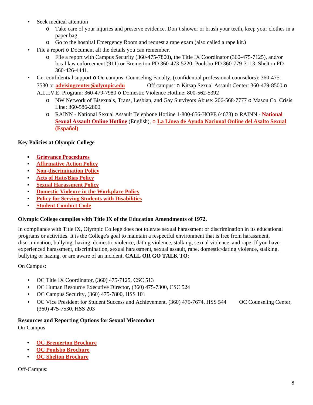- Seek medical attention
	- o Take care of your injuries and preserve evidence. Don't shower or brush your teeth, keep your clothes in a paper bag.
	- o Go to the hospital Emergency Room and request a rape exam (also called a rape kit.)
- File a report o Document all the details you can remember.
	- o File a report with Campus Security (360-475-7800), the Title IX Coordinator (360-475-7125), and/or local law enforcement (911) or Bremerton PD 360-473-5220; Poulsbo PD 360-779-3113; Shelton PD 360-426-4441.
- Get confidential support o On campus: Counseling Faculty, (confidential professional counselors): 360-475- 7530 or **advisingcenter@olympic.edu** Off campus: o Kitsap Sexual Assault Center: 360-479-8500 o A.L.I.V.E. Program: 360-479-7980 o Domestic Violence Hotline: 800-562-5392
	- o NW Network of Bisexuals, Trans, Lesbian, and Gay Survivors Abuse: 206-568-7777 o Mason Co. Crisis Line: 360-586-2800
	- o RAINN National Sexual Assault Telephone Hotline 1-800-656-HOPE (4673) o RAINN **National Sexual Assault Online Hotline** (English), o **La Línea de Ayuda Nacional Online del Asalto Sexual (Español)**

## **Key Policies at Olympic College**

- **Grievance Procedures**
- **Affirmative Action Policy**
- **Non-discrimination Policy**
- **Acts of Hate/Bias Policy**
- **Sexual Harassment Policy**
- **Domestic Violence in the Workplace Policy**
- **Policy for Serving Students with Disabilities**
- **Student Conduct Code**

## **Olympic College complies with Title IX of the Education Amendments of 1972.**

In compliance with Title IX, Olympic College does not tolerate sexual harassment or discrimination in its educational programs or activities. It is the College's goal to maintain a respectful environment that is free from harassment, discrimination, bullying, hazing, domestic violence, dating violence, stalking, sexual violence, and rape. If you have experienced harassment, discrimination, sexual harassment, sexual assault, rape, domestic/dating violence, stalking, bullying or hazing, or are aware of an incident, **CALL OR GO TALK TO**:

On Campus:

- OC Title IX Coordinator, (360) 475-7125, CSC 513
- OC Human Resource Executive Director, (360) 475-7300, CSC 524
- OC Campus Security, (360) 475-7800, HSS 101
- OC Vice President for Student Success and Achievement, (360) 475-7674, HSS 544 OC Counseling Center, (360) 475-7530, HSS 203

## **Resources and Reporting Options for Sexual Misconduct**

On-Campus

- **OC Bremerton Brochure**
- **OC Poulsbo Brochure**
- **OC Shelton Brochure**

Off-Campus: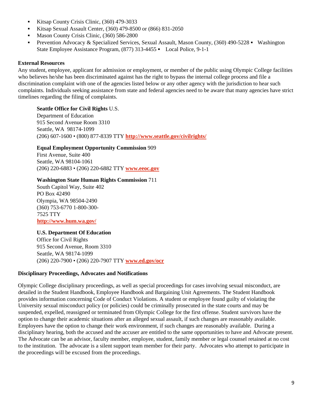- Kitsap County Crisis Clinic,  $(360)$  479-3033
- Kitsap Sexual Assault Center, (360) 479-8500 or (866) 831-2050
- Mason County Crisis Clinic,  $(360)$  586-2800
- **Prevention Advocacy & Specialized Services, Sexual Assault, Mason County, (360) 490-5228 Washington** State Employee Assistance Program, (877) 313-4455 - Local Police, 9-1-1

#### **External Resources**

Any student, employee, applicant for admission or employment, or member of the public using Olympic College facilities who believes he/she has been discriminated against has the right to bypass the internal college process and file a discrimination complaint with one of the agencies listed below or any other agency with the jurisdiction to hear such complaints. Individuals seeking assistance from state and federal agencies need to be aware that many agencies have strict timelines regarding the filing of complaints.

#### **Seattle Office for Civil Rights** U.S.

Department of Education 915 Second Avenue Room 3310 Seattle, WA 98174-1099 (206) 607-1600 • (800) 877-8339 TTY **http://www.seattle.gov/civilrights/**

#### **Equal Employment Opportunity Commission** 909

First Avenue, Suite 400 Seattle, WA 98104-1061 (206) 220-6883 • (206) 220-6882 TTY **www.eeoc.gov**

#### **Washington State Human Rights Commission** 711

South Capitol Way, Suite 402 PO Box 42490 Olympia, WA 98504-2490 (360) 753-6770 1-800-300- 7525 TTY **http://www.hum.wa.gov/**

#### **U.S. Department Of Education**

Office for Civil Rights 915 Second Avenue, Room 3310 Seattle, WA 98174-1099 (206) 220-7900 • (206) 220-7907 TTY **www.ed.gov/ocr**

#### **Disciplinary Proceedings, Advocates and Notifications**

Olympic College disciplinary proceedings, as well as special proceedings for cases involving sexual misconduct, are detailed in the Student Handbook, Employee Handbook and Bargaining Unit Agreements. The Student Handbook provides information concerning Code of Conduct Violations. A student or employee found guilty of violating the University sexual misconduct policy (or policies) could be criminally prosecuted in the state courts and may be suspended, expelled, reassigned or terminated from Olympic College for the first offense. Student survivors have the option to change their academic situations after an alleged sexual assault, if such changes are reasonably available. Employees have the option to change their work environment, if such changes are reasonably available. During a disciplinary hearing, both the accused and the accuser are entitled to the same opportunities to have and Advocate present. The Advocate can be an advisor, faculty member, employee, student, family member or legal counsel retained at no cost to the institution. The advocate is a silent support team member for their party. Advocates who attempt to participate in the proceedings will be excused from the proceedings.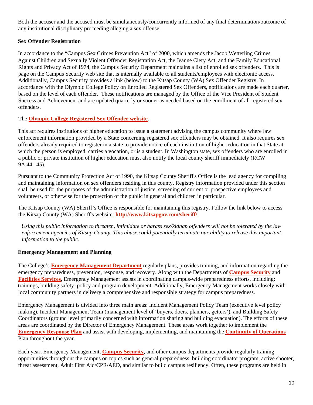Both the accuser and the accused must be simultaneously/concurrently informed of any final determination/outcome of any institutional disciplinary proceeding alleging a sex offense.

# **Sex Offender Registration**

In accordance to the "Campus Sex Crimes Prevention Act" of 2000, which amends the Jacob Wetterling Crimes Against Children and Sexually Violent Offender Registration Act, the Jeanne Clery Act, and the Family Educational Rights and Privacy Act of 1974, the Campus Security Department maintains a list of enrolled sex offenders. This is page on the Campus Security web site that is internally available to all students/employees with electronic access. Additionally, Campus Security provides a link (below) to the Kitsap County (WA) Sex Offender Registry. In accordance with the Olympic College Policy on Enrolled Registered Sex Offenders, notifications are made each quarter, based on the level of each offender. These notifications are managed by the Office of the Vice President of Student Success and Achievement and are updated quarterly or sooner as needed based on the enrollment of all registered sex offenders.

# The **Olympic College Registered Sex Offender website**.

This act requires institutions of higher education to issue a statement advising the campus community where law enforcement information provided by a State concerning registered sex offenders may be obtained. It also requires sex offenders already required to register in a state to provide notice of each institution of higher education in that State at which the person is employed, carries a vocation, or is a student. In Washington state, sex offenders who are enrolled in a public or private institution of higher education must also notify the local county sheriff immediately (RCW 9A.44.145).

Pursuant to the Community Protection Act of 1990, the Kitsap County Sheriff's Office is the lead agency for compiling and maintaining information on sex offenders residing in this county. Registry information provided under this section shall be used for the purposes of the administration of justice, screening of current or prospective employees and volunteers, or otherwise for the protection of the public in general and children in particular.

The Kitsap County (WA) Sheriff's Office is responsible for maintaining this registry. Follow the link below to access the Kitsap County (WA) Sheriff's website: **http://www.kitsapgov.com/sheriff/** 

*Using this public information to threaten, intimidate or harass sex/kidnap offenders will not be tolerated by the law enforcement agencies of Kitsap County. This abuse could potentially terminate our ability to release this important information to the public.* 

# **Emergency Management and Planning**

The College's **Emergency Management Department** regularly plans, provides training, and information regarding the emergency preparedness, prevention, response, and recovery. Along with the Departments of **Campus Security** and **Facilities Services**, Emergency Management assists in coordinating campus-wide preparedness efforts, including: trainings, building safety, policy and program development. Additionally, Emergency Management works closely with local community partners in delivery a comprehensive and responsible strategy for campus preparedness.

Emergency Management is divided into three main areas: Incident Management Policy Team (executive level policy making), Incident Management Team (management level of 'buyers, doers, planners, getters'), and Building Safety Coordinators (ground level primarily concerned with information sharing and building evacuation). The efforts of these areas are coordinated by the Director of Emergency Management. These areas work together to implement the **Emergency Response Plan** and assist with developing, implementing, and maintaining the **Continuity of Operations** Plan throughout the year.

Each year, Emergency Management, **Campus Security**, and other campus departments provide regularly training opportunities throughout the campus on topics such as general preparedness, building coordinator program, active shooter, threat assessment, Adult First Aid/CPR/AED, and similar to build campus resiliency. Often, these programs are held in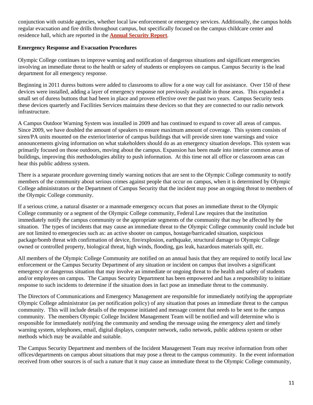conjunction with outside agencies, whether local law enforcement or emergency services. Additionally, the campus holds regular evacuation and fire drills throughout campus, but specifically focused on the campus childcare center and residence hall, which are reported in the **Annual Security Report**.

## **Emergency Response and Evacuation Procedures**

Olympic College continues to improve warning and notification of dangerous situations and significant emergencies involving an immediate threat to the health or safety of students or employees on campus. Campus Security is the lead department for all emergency response.

Beginning in 2011 duress buttons were added to classrooms to allow for a one way call for assistance. Over 150 of these devices were installed, adding a layer of emergency response not previously available in those areas. This expanded a small set of duress buttons that had been in place and proven effective over the past two years. Campus Security tests these devices quarterly and Facilities Services maintains these devices so that they are connected to our radio network infrastructure.

A Campus Outdoor Warning System was installed in 2009 and has continued to expand to cover all areas of campus. Since 2009, we have doubled the amount of speakers to ensure maximum amount of coverage. This system consists of siren/PA units mounted on the exterior/interior of campus buildings that will provide siren tone warnings and voice announcements giving information on what stakeholders should do as an emergency situation develops. This system was primarily focused on those outdoors, moving about the campus. Expansion has been made into interior common areas of buildings, improving this methodologies ability to push information. At this time not all office or classroom areas can hear this public address system.

There is a separate procedure governing timely warning notices that are sent to the Olympic College community to notify members of the community about serious crimes against people that occur on campus, when it is determined by Olympic College administrators or the Department of Campus Security that the incident may pose an ongoing threat to members of the Olympic College community.

If a serious crime, a natural disaster or a manmade emergency occurs that poses an immediate threat to the Olympic College community or a segment of the Olympic College community, Federal Law requires that the institution immediately notify the campus community or the appropriate segments of the community that may be affected by the situation. The types of incidents that may cause an immediate threat to the Olympic College community could include but are not limited to emergencies such as: an active shooter on campus, hostage/barricaded situation, suspicious package/bomb threat with confirmation of device, fire/explosion, earthquake, structural damage to Olympic College owned or controlled property, biological threat, high winds, flooding, gas leak, hazardous materials spill, etc.

All members of the Olympic College Community are notified on an annual basis that they are required to notify local law enforcement or the Campus Security Department of any situation or incident on campus that involves a significant emergency or dangerous situation that may involve an immediate or ongoing threat to the health and safety of students and/or employees on campus. The Campus Security Department has been empowered and has a responsibility to initiate response to such incidents to determine if the situation does in fact pose an immediate threat to the community.

The Directors of Communications and Emergency Management are responsible for immediately notifying the appropriate Olympic College administrator (as per notification policy) of any situation that poses an immediate threat to the campus community. This will include details of the response initiated and message content that needs to be sent to the campus community. The members Olympic College Incident Management Team will be notified and will determine who is responsible for immediately notifying the community and sending the message using the emergency alert and timely warning system, telephones, email, digital displays, computer network, radio network, public address system or other methods which may be available and suitable.

The Campus Security Department and members of the Incident Management Team may receive information from other offices/departments on campus about situations that may pose a threat to the campus community. In the event information received from other sources is of such a nature that it may cause an immediate threat to the Olympic College community,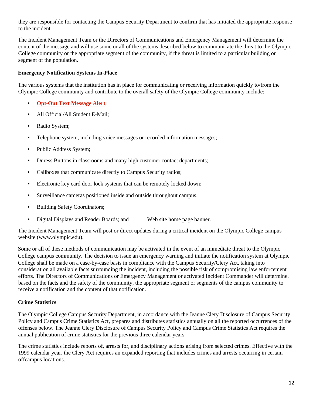they are responsible for contacting the Campus Security Department to confirm that has initiated the appropriate response to the incident.

The Incident Management Team or the Directors of Communications and Emergency Management will determine the content of the message and will use some or all of the systems described below to communicate the threat to the Olympic College community or the appropriate segment of the community, if the threat is limited to a particular building or segment of the population.

#### **Emergency Notification Systems In-Place**

The various systems that the institution has in place for communicating or receiving information quickly to/from the Olympic College community and contribute to the overall safety of the Olympic College community include:

- **Opt-Out Text Message Alert**;
- All Official/All Student E-Mail;
- Radio System;
- Telephone system, including voice messages or recorded information messages;
- Public Address System;
- Duress Buttons in classrooms and many high customer contact departments;
- Callboxes that communicate directly to Campus Security radios;
- Electronic key card door lock systems that can be remotely locked down;
- Surveillance cameras positioned inside and outside throughout campus;
- Building Safety Coordinators;
- Digital Displays and Reader Boards; and Web site home page banner.

The Incident Management Team will post or direct updates during a critical incident on the Olympic College campus website (www.olympic.edu).

Some or all of these methods of communication may be activated in the event of an immediate threat to the Olympic College campus community. The decision to issue an emergency warning and initiate the notification system at Olympic College shall be made on a case-by-case basis in compliance with the Campus Security/Clery Act, taking into consideration all available facts surrounding the incident, including the possible risk of compromising law enforcement efforts. The Directors of Communications or Emergency Management or activated Incident Commander will determine, based on the facts and the safety of the community, the appropriate segment or segments of the campus community to receive a notification and the content of that notification.

## **Crime Statistics**

The Olympic College Campus Security Department, in accordance with the Jeanne Clery Disclosure of Campus Security Policy and Campus Crime Statistics Act, prepares and distributes statistics annually on all the reported occurrences of the offenses below. The Jeanne Clery Disclosure of Campus Security Policy and Campus Crime Statistics Act requires the annual publication of crime statistics for the previous three calendar years.

The crime statistics include reports of, arrests for, and disciplinary actions arising from selected crimes. Effective with the 1999 calendar year, the Clery Act requires an expanded reporting that includes crimes and arrests occurring in certain offcampus locations.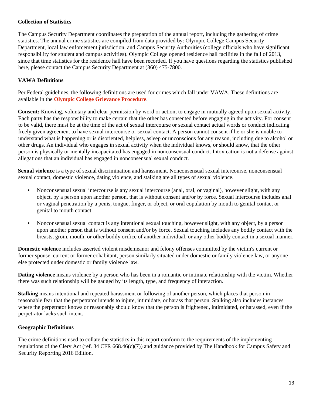## **Collection of Statistics**

The Campus Security Department coordinates the preparation of the annual report, including the gathering of crime statistics. The annual crime statistics are compiled from data provided by: Olympic College Campus Security Department, local law enforcement jurisdiction, and Campus Security Authorities (college officials who have significant responsibility for student and campus activities). Olympic College opened residence hall facilities in the fall of 2013, since that time statistics for the residence hall have been recorded. If you have questions regarding the statistics published here, please contact the Campus Security Department at (360) 475-7800.

# **VAWA Definitions**

Per Federal guidelines, the following definitions are used for crimes which fall under VAWA. These definitions are available in the **Olympic College Grievance Procedure**.

**Consent:** Knowing, voluntary and clear permission by word or action, to engage in mutually agreed upon sexual activity. Each party has the responsibility to make certain that the other has consented before engaging in the activity. For consent to be valid, there must be at the time of the act of sexual intercourse or sexual contact actual words or conduct indicating freely given agreement to have sexual intercourse or sexual contact. A person cannot consent if he or she is unable to understand what is happening or is disoriented, helpless, asleep or unconscious for any reason, including due to alcohol or other drugs. An individual who engages in sexual activity when the individual knows, or should know, that the other person is physically or mentally incapacitated has engaged in nonconsensual conduct. Intoxication is not a defense against allegations that an individual has engaged in nonconsensual sexual conduct.

**Sexual violence** is a type of sexual discrimination and harassment. Nonconsensual sexual intercourse, nonconsensual sexual contact, domestic violence, dating violence, and stalking are all types of sexual violence.

- Nonconsensual sexual intercourse is any sexual intercourse (anal, oral, or vaginal), however slight, with any object, by a person upon another person, that is without consent and/or by force. Sexual intercourse includes anal or vaginal penetration by a penis, tongue, finger, or object, or oral copulation by mouth to genital contact or genital to mouth contact.
- Nonconsensual sexual contact is any intentional sexual touching, however slight, with any object, by a person upon another person that is without consent and/or by force. Sexual touching includes any bodily contact with the breasts, groin, mouth, or other bodily orifice of another individual, or any other bodily contact in a sexual manner.

**Domestic violence** includes asserted violent misdemeanor and felony offenses committed by the victim's current or former spouse, current or former cohabitant, person similarly situated under domestic or family violence law, or anyone else protected under domestic or family violence law.

**Dating violence** means violence by a person who has been in a romantic or intimate relationship with the victim. Whether there was such relationship will be gauged by its length, type, and frequency of interaction.

**Stalking** means intentional and repeated harassment or following of another person, which places that person in reasonable fear that the perpetrator intends to injure, intimidate, or harass that person. Stalking also includes instances where the perpetrator knows or reasonably should know that the person is frightened, intimidated, or harassed, even if the perpetrator lacks such intent.

# **Geographic Definitions**

The crime definitions used to collate the statistics in this report conform to the requirements of the implementing regulations of the Clery Act (ref. 34 CFR 668.46(c)(7)) and guidance provided by The Handbook for Campus Safety and Security Reporting 2016 Edition.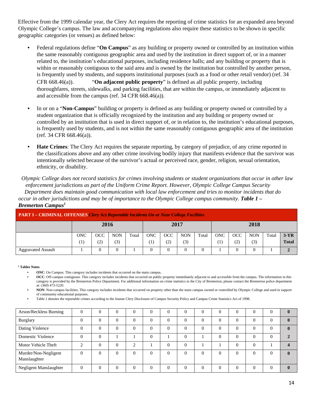Effective from the 1999 calendar year, the Clery Act requires the reporting of crime statistics for an expanded area beyond Olympic College's campus. The law and accompanying regulations also require these statistics to be shown in specific geographic categories (or venues) as defined below:

- Federal regulations define "**On Campus**" as any building or property owned or controlled by an institution within the same reasonably contiguous geographic area and used by the institution in direct support of, or in a manner related to, the institution's educational purposes, including residence halls; and any building or property that is within or reasonably contiguous to the said area and is owned by the institution but controlled by another person, is frequently used by students, and supports institutional purposes (such as a food or other retail vendor) (ref. 34 CFR 668.46(a)). "**On adjacent public property**" is defined as all public property, including thoroughfares, streets, sidewalks, and parking facilities, that are within the campus, or immediately adjacent to and accessible from the campus (ref. 34 CFR 668.46(a)).
- In or on a "**Non-Campus**" building or property is defined as any building or property owned or controlled by a student organization that is officially recognized by the institution and any building or property owned or controlled by an institution that is used in direct support of, or in relation to, the institution's educational purposes, is frequently used by students, and is not within the same reasonably contiguous geographic area of the institution (ref. 34 CFR 668.46(a)).
- **Hate Crimes**: The Clery Act requires the separate reporting, by category of prejudice, of any crime reported in the classifications above and any other crime involving bodily injury that manifests evidence that the survivor was intentionally selected because of the survivor's actual or perceived race, gender, religion, sexual orientation, ethnicity, or disability.

*Olympic College does not record statistics for crimes involving students or student organizations that occur in other law enforcement jurisdictions as part of the Uniform Crime Report. However, Olympic College Campus Security Department does maintain good communication with local law enforcement and tries to monitor incidents that do occur in other jurisdictions and may be of importance to the Olympic College campus community. Table 1 – Bremerton Campus1*

| <b>PART I – CRIMINAL OFFENSES Clery Act Reportable Incidents On or Near College Facilities</b> |                  |     |            |       |            |            |            |       |                     |            |            |       |              |
|------------------------------------------------------------------------------------------------|------------------|-----|------------|-------|------------|------------|------------|-------|---------------------|------------|------------|-------|--------------|
|                                                                                                | 2016             |     |            |       | 2017       |            |            | 2018  |                     |            |            |       |              |
|                                                                                                | <b>ONC</b>       | OCC | <b>NON</b> | Total | <b>ONC</b> | <b>OCC</b> | <b>NON</b> | Total | <b>ONC</b>          | <b>OCC</b> | <b>NON</b> | Total | $3-YR$       |
|                                                                                                | $\left(1\right)$ | (2) | (3)        |       | 11         | (2)        | (3)        |       | $\scriptstyle{(1)}$ | (2)        | 3)         |       | <b>Total</b> |
| <b>Aggravated Assault</b>                                                                      |                  |     |            |       |            |            |            |       |                     |            |            |       |              |

*<sup>1</sup>* **Tables Notes** 

• **ONC**: On Campus: This category includes incidents that occurred on the main campus.

• **OCC**: Off-campus contiguous. This category includes incidents that occurred on public property immediately adjacent to and accessible from the campus. The information in this category is provided by the Bremerton Police Department. For additional information on crime statistics in the City of Bremerton, please contact the Bremerton police department at: (360) 473-5220.

• **NON**: Non-campus facilities. This category includes incidents that occurred on property other than the main campus owned or controlled by Olympic College and used in support of community educational purposes.

• Table 1 denotes the reportable crimes according to the Jeanne Clery Disclosure of Campus Security Policy and Campus Crime Statistics Act of 1998.

| Arson/Reckless Burning               | U        |          | $\theta$  | v        | O        | $\Omega$ | $\theta$       |  | 0        |  |
|--------------------------------------|----------|----------|-----------|----------|----------|----------|----------------|--|----------|--|
| <b>Burglary</b>                      |          |          | $\theta$  | 0        | $\Omega$ | $\Omega$ | $\Omega$       |  | $\Omega$ |  |
| Dating Violence                      |          |          | $\theta$  | 0        | $\Omega$ | $\theta$ | $\overline{0}$ |  |          |  |
| Domestic Violence                    |          |          |           |          |          |          | $\Omega$       |  |          |  |
| Motor Vehicle Theft                  | ⌒        |          | $\bigcap$ |          | $\Omega$ |          |                |  |          |  |
| Murder/Non-Negligent<br>Manslaughter | $\Omega$ | $\theta$ | $\theta$  | $\Omega$ | $\Omega$ | $\Omega$ | $\Omega$       |  | $\Omega$ |  |
| Negligent Manslaughter               |          |          | $\Omega$  |          | $\Omega$ | $\Omega$ | $\Omega$       |  |          |  |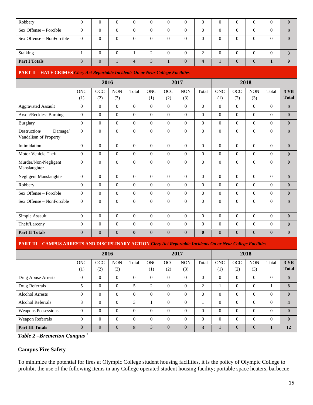| Robbery                   |   |  |  | 0        |  |  |  |
|---------------------------|---|--|--|----------|--|--|--|
| Sex Offense – Forcible    |   |  |  |          |  |  |  |
| Sex Offense – NonForcible | 0 |  |  | $\Omega$ |  |  |  |
| Stalking                  |   |  |  |          |  |  |  |
| <b>Part I Totals</b>      |   |  |  |          |  |  |  |

#### **PART II – HATE CRIMES** *Clery Act Reportable Incidents On or Near College Facilities*

|                                                  |            | 2017           |            |              |            | 2018           |            |              |                |                |            |                |              |
|--------------------------------------------------|------------|----------------|------------|--------------|------------|----------------|------------|--------------|----------------|----------------|------------|----------------|--------------|
|                                                  | <b>ONC</b> | OCC            | <b>NON</b> | Total        | <b>ONC</b> | OCC            | $\rm{NON}$ | Total        | <b>ONC</b>     | OCC            | $\rm{NON}$ | Total          | <b>3 YR</b>  |
|                                                  | (1)        | (2)            | (3)        |              | (1)        | (2)            | (3)        |              | (1)            | (2)            | (3)        |                | <b>Total</b> |
| <b>Aggravated Assault</b>                        | $\Omega$   | $\Omega$       | $\theta$   | $\Omega$     | $\Omega$   | $\Omega$       | $\theta$   | $\theta$     | $\Omega$       | $\Omega$       | $\Omega$   | $\Omega$       | $\bf{0}$     |
| Arson/Reckless Burning                           | $\Omega$   | $\overline{0}$ | $\Omega$   | $\Omega$     | $\Omega$   | $\Omega$       | $\Omega$   | $\theta$     | $\Omega$       | $\Omega$       | $\Omega$   | $\Omega$       | $\bf{0}$     |
| <b>Burglary</b>                                  | $\Omega$   | $\Omega$       | $\Omega$   | $\Omega$     | $\Omega$   | $\Omega$       | $\Omega$   | $\Omega$     | $\Omega$       | $\Omega$       | $\Omega$   | $\Omega$       | $\bf{0}$     |
| Damage/<br>Destruction/<br>Vandalism of Property | $\Omega$   | $\overline{0}$ | $\Omega$   | $\Omega$     | $\Omega$   | $\Omega$       | $\theta$   | $\Omega$     | $\overline{0}$ | $\Omega$       | $\Omega$   | $\theta$       | $\mathbf{0}$ |
| Intimidation                                     | $\Omega$   | $\Omega$       | $\Omega$   | $\Omega$     | $\Omega$   | $\Omega$       | $\theta$   | $\theta$     | $\Omega$       | $\Omega$       | $\Omega$   | $\Omega$       | $\bf{0}$     |
| Motor Vehicle Theft                              | $\Omega$   | $\overline{0}$ | $\Omega$   | $\Omega$     | $\Omega$   | $\Omega$       | $\theta$   | $\theta$     | $\Omega$       | $\Omega$       | $\Omega$   | $\Omega$       | $\bf{0}$     |
| Murder/Non-Negligent<br>Manslaughter             | $\theta$   | $\overline{0}$ | $\Omega$   | $\Omega$     | $\Omega$   | $\overline{0}$ | $\theta$   | $\mathbf{0}$ | $\overline{0}$ | $\overline{0}$ | $\theta$   | $\theta$       | $\bf{0}$     |
| Negligent Manslaughter                           | $\Omega$   | $\Omega$       | $\Omega$   | $\Omega$     | $\Omega$   | $\Omega$       | $\Omega$   | $\Omega$     | $\Omega$       | $\Omega$       | $\Omega$   | $\Omega$       | $\bf{0}$     |
| Robbery                                          | $\Omega$   | $\Omega$       | $\Omega$   | $\Omega$     | $\Omega$   | $\Omega$       | $\Omega$   | $\theta$     | $\Omega$       | $\Omega$       | $\Omega$   | $\Omega$       | $\mathbf{0}$ |
| Sex Offense – Forcible                           | $\Omega$   | $\overline{0}$ | $\Omega$   | $\Omega$     | $\Omega$   | $\Omega$       | $\Omega$   | $\theta$     | $\Omega$       | $\Omega$       | $\Omega$   | $\Omega$       | $\mathbf{0}$ |
| Sex Offense - NonForcible                        | $\theta$   | $\overline{0}$ | $\Omega$   | $\theta$     | $\theta$   | $\overline{0}$ | $\theta$   | $\Omega$     | $\overline{0}$ | $\Omega$       | $\theta$   | $\overline{0}$ | $\mathbf{0}$ |
| Simple Assault                                   | $\Omega$   | $\Omega$       | $\Omega$   | $\Omega$     | $\Omega$   | $\Omega$       | $\Omega$   | $\Omega$     | $\Omega$       | $\Omega$       | $\Omega$   | $\Omega$       | $\mathbf{0}$ |
| Theft/Larceny                                    | $\Omega$   | $\Omega$       | $\Omega$   | $\Omega$     | $\Omega$   | $\Omega$       | $\theta$   | $\theta$     | $\Omega$       | $\Omega$       | $\Omega$   | $\Omega$       | $\mathbf{0}$ |
| <b>Part II Totals</b>                            | $\Omega$   | $\Omega$       | $\Omega$   | $\mathbf{0}$ | $\Omega$   | $\Omega$       | $\Omega$   | $\mathbf{0}$ | $\overline{0}$ | $\Omega$       | $\Omega$   | $\mathbf{0}$   | $\mathbf{0}$ |

#### **PART III – CAMPUS ARRESTS AND DISCIPLINARY ACTION** *Clery Act Reportable Incidents On or Near College Facilities*

|                            |            |              | 2017       |          |                  | 2018           |            |                |                  |            |                |                |              |
|----------------------------|------------|--------------|------------|----------|------------------|----------------|------------|----------------|------------------|------------|----------------|----------------|--------------|
|                            | <b>ONC</b> | OCC          | <b>NON</b> | Total    | <b>ONC</b>       | <b>OCC</b>     | <b>NON</b> | Total          | <b>ONC</b>       | <b>OCC</b> | <b>NON</b>     | Total          | <b>3 YR</b>  |
|                            | (1)        | (2)          | (3)        |          | $\left(1\right)$ | (2)            | (3)        |                | $\left(1\right)$ | (2)        | (3)            |                | <b>Total</b> |
| Drug Abuse Arrests         | $\Omega$   | $\Omega$     | $\Omega$   | $\Omega$ | $\Omega$         | $\Omega$       | $\Omega$   | $\theta$       | $\theta$         | $\Omega$   | $\theta$       | $\Omega$       | $\mathbf{0}$ |
| Drug Referrals             | 5          | $\Omega$     | $\Omega$   |          | 2                | $\Omega$       | $\theta$   | $\overline{2}$ |                  | $\Omega$   | $\theta$       |                | 8            |
| <b>Alcohol Arrests</b>     | $\theta$   | $\mathbf{0}$ | $\Omega$   | $\Omega$ | $\Omega$         | $\Omega$       | $\theta$   | $\theta$       | $\overline{0}$   | $\Omega$   | $\theta$       | $\overline{0}$ | $\mathbf{0}$ |
| <b>Alcohol Referrals</b>   | 3          | $\Omega$     | $\Omega$   | 3        |                  | $\Omega$       | $\Omega$   |                | $\Omega$         | $\Omega$   | $\theta$       | $\overline{0}$ | Δ            |
| <b>Weapons Possessions</b> | $\Omega$   | $\Omega$     | $\Omega$   | $\Omega$ | $\Omega$         | $\Omega$       | $\Omega$   | $\Omega$       | $\Omega$         | $\Omega$   | $\Omega$       | $\overline{0}$ | $\mathbf{0}$ |
| Weapon Referrals           | $\theta$   | $\Omega$     | $\Omega$   | $\Omega$ | $\Omega$         | $\Omega$       | $\Omega$   | $\Omega$       | $\Omega$         | $\Omega$   | $\Omega$       | $\theta$       | $\mathbf{0}$ |
| <b>Part III Totals</b>     | 8          | $\mathbf{0}$ | $\Omega$   | 8        | 3                | $\overline{0}$ | $\Omega$   | 3              |                  | $\Omega$   | $\overline{0}$ |                | 12           |

*Table 2 –Bremerton Campus 2*

## **Campus Fire Safety**

To minimize the potential for fires at Olympic College student housing facilities, it is the policy of Olympic College to prohibit the use of the following items in any College operated student housing facility; portable space heaters, barbecue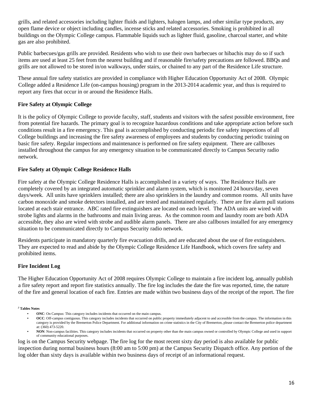grills, and related accessories including lighter fluids and lighters, halogen lamps, and other similar type products, any open flame device or object including candles, incense sticks and related accessories. Smoking is prohibited in all buildings on the Olympic College campus. Flammable liquids such as lighter fluid, gasoline, charcoal starter, and white gas are also prohibited.

Public barbecues/gas grills are provided. Residents who wish to use their own barbecues or hibachis may do so if such items are used at least 25 feet from the nearest building and if reasonable fire/safety precautions are followed. BBQs and grills are not allowed to be stored in/on walkways, under stairs, or chained to any part of the Residence Life structure.

These annual fire safety statistics are provided in compliance with Higher Education Opportunity Act of 2008. Olympic College added a Residence Life (on-campus housing) program in the 2013-2014 academic year, and thus is required to report any fires that occur in or around the Residence Halls.

## **Fire Safety at Olympic College**

It is the policy of Olympic College to provide faculty, staff, students and visitors with the safest possible environment, free from potential fire hazards. The primary goal is to recognize hazardous conditions and take appropriate action before such conditions result in a fire emergency. This goal is accomplished by conducting periodic fire safety inspections of all College buildings and increasing the fire safety awareness of employees and students by conducting periodic training on basic fire safety. Regular inspections and maintenance is performed on fire safety equipment. There are callboxes installed throughout the campus for any emergency situation to be communicated directly to Campus Security radio network.

## **Fire Safety at Olympic College Residence Halls**

Fire safety at the Olympic College Residence Halls is accomplished in a variety of ways. The Residence Halls are completely covered by an integrated automatic sprinkler and alarm system, which is monitored 24 hours/day, seven days/week. All units have sprinklers installed; there are also sprinklers in the laundry and common rooms. All units have carbon monoxide and smoke detectors installed, and are tested and maintained regularly. There are fire alarm pull stations located at each stair entrance. ABC rated fire extinguishers are located on each level. The ADA units are wired with strobe lights and alarms in the bathrooms and main living areas. As the common room and laundry room are both ADA accessible, they also are wired with strobe and audible alarm panels. There are also callboxes installed for any emergency situation to be communicated directly to Campus Security radio network.

Residents participate in mandatory quarterly fire evacuation drills, and are educated about the use of fire extinguishers. They are expected to read and abide by the Olympic College Residence Life Handbook, which covers fire safety and prohibited items.

## **Fire Incident Log**

The Higher Education Opportunity Act of 2008 requires Olympic College to maintain a fire incident log, annually publish a fire safety report and report fire statistics annually. The fire log includes the date the fire was reported, time, the nature of the fire and general location of each fire. Entries are made within two business days of the receipt of the report. The fire

*<sup>2</sup>* **Tables Notes** 

- **ONC**: On Campus: This category includes incidents that occurred on the main campus.
- **OCC**: Off-campus contiguous. This category includes incidents that occurred on public property immediately adjacent to and accessible from the campus. The information in this category is provided by the Bremerton Police Department. For additional information on crime statistics in the City of Bremerton, please contact the Bremerton police department at: (360) 473-5220.
- **NON**: Non-campus facilities. This category includes incidents that occurred on property other than the main campus owned or controlled by Olympic College and used in support of community educational purposes.

log is on the Campus Security webpage. The fire log for the most recent sixty day period is also available for public inspection during normal business hours (8:00 am to 5:00 pm) at the Campus Security Dispatch office. Any portion of the log older than sixty days is available within two business days of receipt of an informational request.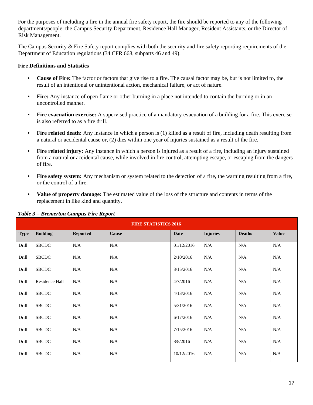For the purposes of including a fire in the annual fire safety report, the fire should be reported to any of the following departments/people: the Campus Security Department, Residence Hall Manager, Resident Assistants, or the Director of Risk Management.

The Campus Security & Fire Safety report complies with both the security and fire safety reporting requirements of the Department of Education regulations (34 CFR 668, subparts 46 and 49).

#### **Fire Definitions and Statistics**

- **Cause of Fire:** The factor or factors that give rise to a fire. The causal factor may be, but is not limited to, the result of an intentional or unintentional action, mechanical failure, or act of nature.
- **Fire:** Any instance of open flame or other burning in a place not intended to contain the burning or in an uncontrolled manner.
- **Fire evacuation exercise:** A supervised practice of a mandatory evacuation of a building for a fire. This exercise is also referred to as a fire drill.
- **Fire related death:** Any instance in which a person is (1) killed as a result of fire, including death resulting from a natural or accidental cause or, (2) dies within one year of injuries sustained as a result of the fire.
- **Fire related injury:** Any instance in which a person is injured as a result of a fire, including an injury sustained from a natural or accidental cause, while involved in fire control, attempting escape, or escaping from the dangers of fire.
- **Fire safety system:** Any mechanism or system related to the detection of a fire, the warning resulting from a fire, or the control of a fire.
- **Value of property damage:** The estimated value of the loss of the structure and contents in terms of the replacement in like kind and quantity.

|             | <b>FIRE STATISTICS 2016</b> |                 |       |             |                 |               |              |  |  |  |  |  |
|-------------|-----------------------------|-----------------|-------|-------------|-----------------|---------------|--------------|--|--|--|--|--|
| <b>Type</b> | <b>Building</b>             | <b>Reported</b> | Cause | <b>Date</b> | <b>Injuries</b> | <b>Deaths</b> | <b>Value</b> |  |  |  |  |  |
| Drill       | <b>SBCDC</b>                | N/A             | N/A   | 01/12/2016  | N/A             | N/A           | N/A          |  |  |  |  |  |
| Drill       | <b>SBCDC</b>                | N/A             | N/A   | 2/10/2016   | N/A             | N/A           | N/A          |  |  |  |  |  |
| Drill       | <b>SBCDC</b>                | N/A             | N/A   | 3/15/2016   | N/A             | N/A           | N/A          |  |  |  |  |  |
| Drill       | Residence Hall              | N/A             | N/A   | 4/7/2016    | N/A             | N/A           | N/A          |  |  |  |  |  |
| Drill       | <b>SBCDC</b>                | N/A             | N/A   | 4/13/2016   | N/A             | N/A           | N/A          |  |  |  |  |  |
| Drill       | <b>SBCDC</b>                | N/A             | N/A   | 5/31/2016   | N/A             | N/A           | N/A          |  |  |  |  |  |
| Drill       | <b>SBCDC</b>                | N/A             | N/A   | 6/17/2016   | N/A             | N/A           | N/A          |  |  |  |  |  |
| Drill       | <b>SBCDC</b>                | N/A             | N/A   | 7/15/2016   | N/A             | N/A           | N/A          |  |  |  |  |  |
| Drill       | <b>SBCDC</b>                | N/A             | N/A   | 8/8/2016    | N/A             | N/A           | N/A          |  |  |  |  |  |
| Drill       | <b>SBCDC</b>                | N/A             | N/A   | 10/12/2016  | N/A             | N/A           | N/A          |  |  |  |  |  |

#### *Table 3 – Bremerton Campus Fire Report*